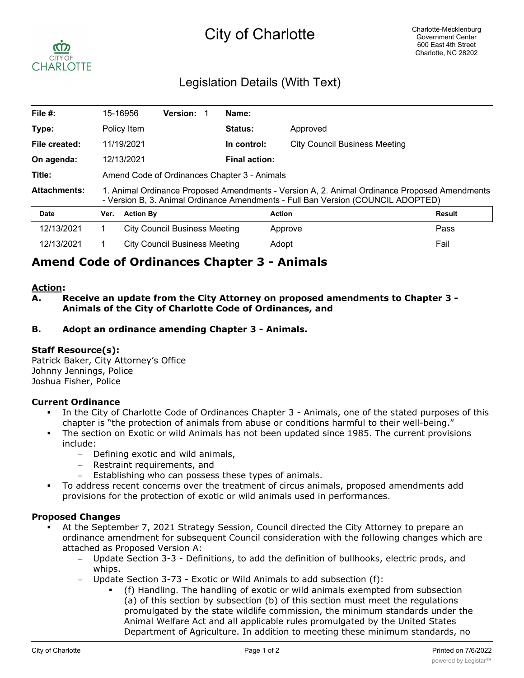# City of Charlotte



## Legislation Details (With Text)

| File #:             |                                                                                                                                                                                  | 15-16956         | <b>Version:</b>                      |  | Name:                |                                      |               |
|---------------------|----------------------------------------------------------------------------------------------------------------------------------------------------------------------------------|------------------|--------------------------------------|--|----------------------|--------------------------------------|---------------|
| Type:               |                                                                                                                                                                                  | Policy Item      |                                      |  | <b>Status:</b>       | Approved                             |               |
| File created:       |                                                                                                                                                                                  | 11/19/2021       |                                      |  | In control:          | <b>City Council Business Meeting</b> |               |
| On agenda:          | 12/13/2021                                                                                                                                                                       |                  |                                      |  | <b>Final action:</b> |                                      |               |
| Title:              | Amend Code of Ordinances Chapter 3 - Animals                                                                                                                                     |                  |                                      |  |                      |                                      |               |
| <b>Attachments:</b> | 1. Animal Ordinance Proposed Amendments - Version A, 2. Animal Ordinance Proposed Amendments<br>- Version B, 3. Animal Ordinance Amendments - Full Ban Version (COUNCIL ADOPTED) |                  |                                      |  |                      |                                      |               |
| <b>Date</b>         | Ver.                                                                                                                                                                             | <b>Action By</b> |                                      |  |                      | <b>Action</b>                        | <b>Result</b> |
| 12/13/2021          |                                                                                                                                                                                  |                  | <b>City Council Business Meeting</b> |  |                      | Approve                              | Pass          |
| 12/13/2021          |                                                                                                                                                                                  |                  | <b>City Council Business Meeting</b> |  |                      | Adopt                                | Fail          |

## **Amend Code of Ordinances Chapter 3 - Animals**

### **Action:**

**A. Receive an update from the City Attorney on proposed amendments to Chapter 3 - Animals of the City of Charlotte Code of Ordinances, and**

### **B. Adopt an ordinance amending Chapter 3 - Animals.**

### **Staff Resource(s):**

Patrick Baker, City Attorney's Office Johnny Jennings, Police Joshua Fisher, Police

### **Current Ordinance**

- In the City of Charlotte Code of Ordinances Chapter 3 Animals, one of the stated purposes of this chapter is "the protection of animals from abuse or conditions harmful to their well-being."
- The section on Exotic or wild Animals has not been updated since 1985. The current provisions include:
	- Defining exotic and wild animals,
	- Restraint requirements, and
	- Establishing who can possess these types of animals.
- § To address recent concerns over the treatment of circus animals, proposed amendments add provisions for the protection of exotic or wild animals used in performances.

### **Proposed Changes**

- At the September 7, 2021 Strategy Session, Council directed the City Attorney to prepare an ordinance amendment for subsequent Council consideration with the following changes which are attached as Proposed Version A:
	- Update Section 3-3 Definitions, to add the definition of bullhooks, electric prods, and whips.
	- Update Section 3-73 Exotic or Wild Animals to add subsection (f):
		- § (f) Handling. The handling of exotic or wild animals exempted from subsection (a) of this section by subsection (b) of this section must meet the regulations promulgated by the state wildlife commission, the minimum standards under the Animal Welfare Act and all applicable rules promulgated by the United States Department of Agriculture. In addition to meeting these minimum standards, no